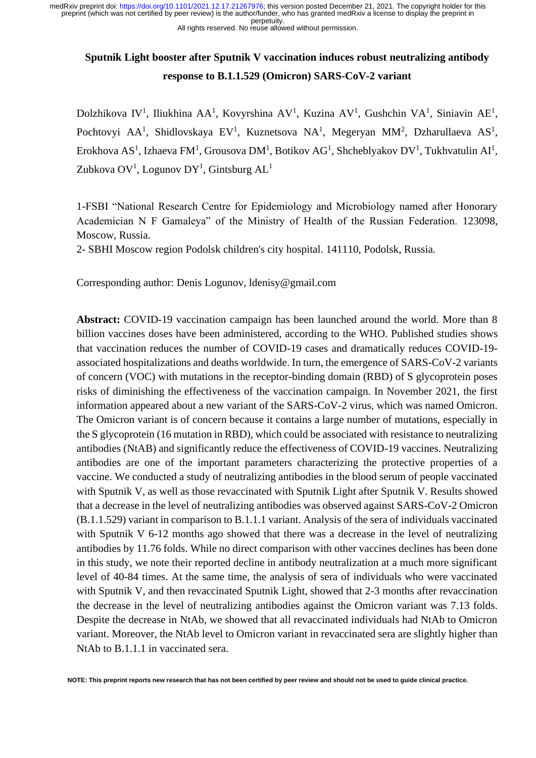All rights reserved. No reuse allowed without permission.

# **Sputnik Light booster after Sputnik V vaccination induces robust neutralizing antibody response to B.1.1.529 (Omicron) SARS-CoV-2 variant**

Dolzhikova IV<sup>1</sup>, Iliukhina AA<sup>1</sup>, Kovyrshina AV<sup>1</sup>, Kuzina AV<sup>1</sup>, Gushchin VA<sup>1</sup>, Siniavin AE<sup>1</sup>, Pochtovyi AA<sup>1</sup>, Shidlovskaya EV<sup>1</sup>, Kuznetsova NA<sup>1</sup>, Megeryan MM<sup>2</sup>, Dzharullaeva AS<sup>1</sup>, Erokhova AS<sup>1</sup>, Izhaeva FM<sup>1</sup>, Grousova DM<sup>1</sup>, Botikov AG<sup>1</sup>, Shcheblyakov DV<sup>1</sup>, Tukhvatulin AI<sup>1</sup>, Zubkova OV<sup>1</sup>, Logunov DY<sup>1</sup>, Gintsburg AL<sup>1</sup>

1-FSBI "National Research Centre for Epidemiology and Microbiology named after Honorary Academician N F Gamaleya" of the Ministry of Health of the Russian Federation. 123098, Moscow, Russia.

2- SBHI Moscow region Podolsk children's city hospital. 141110, Podolsk, Russia.

Corresponding author: Denis Logunov, ldenisy@gmail.com

**Abstract:** COVID-19 vaccination campaign has been launched around the world. More than 8 billion vaccines doses have been administered, according to the WHO. Published studies shows that vaccination reduces the number of COVID-19 cases and dramatically reduces COVID-19 associated hospitalizations and deaths worldwide. In turn, the emergence of SARS-CoV-2 variants of concern (VOC) with mutations in the receptor-binding domain (RBD) of S glycoprotein poses risks of diminishing the effectiveness of the vaccination campaign. In November 2021, the first information appeared about a new variant of the SARS-CoV-2 virus, which was named Omicron. The Omicron variant is of concern because it contains a large number of mutations, especially in the S glycoprotein (16 mutation in RBD), which could be associated with resistance to neutralizing antibodies (NtAB) and significantly reduce the effectiveness of COVID-19 vaccines. Neutralizing antibodies are one of the important parameters characterizing the protective properties of a vaccine. We conducted a study of neutralizing antibodies in the blood serum of people vaccinated with Sputnik V, as well as those revaccinated with Sputnik Light after Sputnik V. Results showed that a decrease in the level of neutralizing antibodies was observed against SARS-CoV-2 Omicron (B.1.1.529) variant in comparison to B.1.1.1 variant. Analysis of the sera of individuals vaccinated with Sputnik V 6-12 months ago showed that there was a decrease in the level of neutralizing antibodies by 11.76 folds. While no direct comparison with other vaccines declines has been done in this study, we note their reported decline in antibody neutralization at a much more significant level of 40-84 times. At the same time, the analysis of sera of individuals who were vaccinated with Sputnik V, and then revaccinated Sputnik Light, showed that 2-3 months after revaccination the decrease in the level of neutralizing antibodies against the Omicron variant was 7.13 folds. Despite the decrease in NtAb, we showed that all revaccinated individuals had NtAb to Omicron variant. Moreover, the NtAb level to Omicron variant in revaccinated sera are slightly higher than NtAb to B.1.1.1 in vaccinated sera.

**NOTE: This preprint reports new research that has not been certified by peer review and should not be used to guide clinical practice.**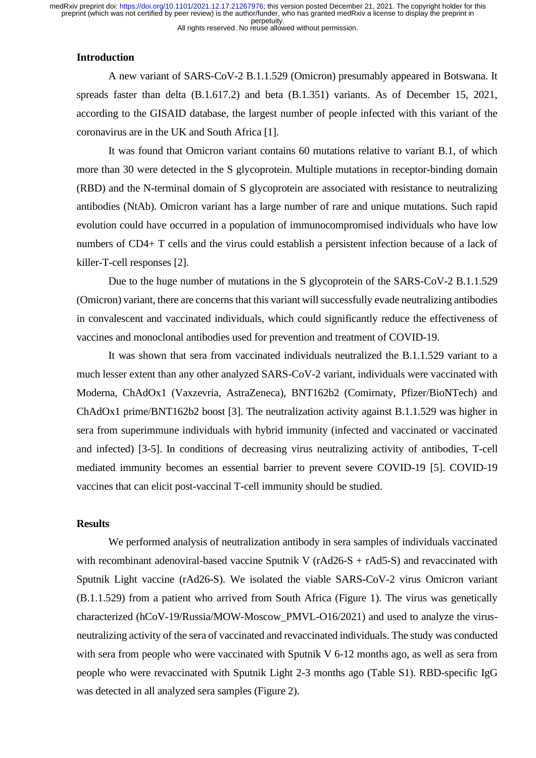## **Introduction**

A new variant of SARS-CoV-2 B.1.1.529 (Omicron) presumably appeared in Botswana. It spreads faster than delta (B.1.617.2) and beta (B.1.351) variants. As of December 15, 2021, according to the GISAID database, the largest number of people infected with this variant of the coronavirus are in the UK and South Africa [1].

It was found that Omicron variant contains 60 mutations relative to variant B.1, of which more than 30 were detected in the S glycoprotein. Multiple mutations in receptor-binding domain (RBD) and the N-terminal domain of S glycoprotein are associated with resistance to neutralizing antibodies (NtAb). Omicron variant has a large number of rare and unique mutations. Such rapid evolution could have occurred in a population of immunocompromised individuals who have low numbers of CD4+ T cells and the virus could establish a persistent infection because of a lack of killer-T-cell responses [2].

Due to the huge number of mutations in the S glycoprotein of the SARS-CoV-2 B.1.1.529 (Omicron) variant, there are concerns that this variant will successfully evade neutralizing antibodies in convalescent and vaccinated individuals, which could significantly reduce the effectiveness of vaccines and monoclonal antibodies used for prevention and treatment of COVID-19.

It was shown that sera from vaccinated individuals neutralized the B.1.1.529 variant to a much lesser extent than any other analyzed SARS-CoV-2 variant, individuals were vaccinated with Moderna, ChAdOx1 (Vaxzevria, AstraZeneca), BNT162b2 (Comirnaty, Pfizer/BioNTech) and ChAdOx1 prime/BNT162b2 boost [3]. The neutralization activity against B.1.1.529 was higher in sera from superimmune individuals with hybrid immunity (infected and vaccinated or vaccinated and infected) [3-5]. In conditions of decreasing virus neutralizing activity of antibodies, T-cell mediated immunity becomes an essential barrier to prevent severe COVID-19 [5]. COVID-19 vaccines that can elicit post-vaccinal T-cell immunity should be studied.

#### **Results**

We performed analysis of neutralization antibody in sera samples of individuals vaccinated with recombinant adenoviral-based vaccine Sputnik V ( $rAd26-S + rAd5-S$ ) and revaccinated with Sputnik Light vaccine (rAd26-S). We isolated the viable SARS-CoV-2 virus Omicron variant (B.1.1.529) from a patient who arrived from South Africa (Figure 1). The virus was genetically characterized (hCoV-19/Russia/MOW-Moscow\_PMVL-O16/2021) and used to analyze the virusneutralizing activity of the sera of vaccinated and revaccinated individuals. The study was conducted with sera from people who were vaccinated with Sputnik V 6-12 months ago, as well as sera from people who were revaccinated with Sputnik Light 2-3 months ago (Table S1). RBD-specific IgG was detected in all analyzed sera samples (Figure 2).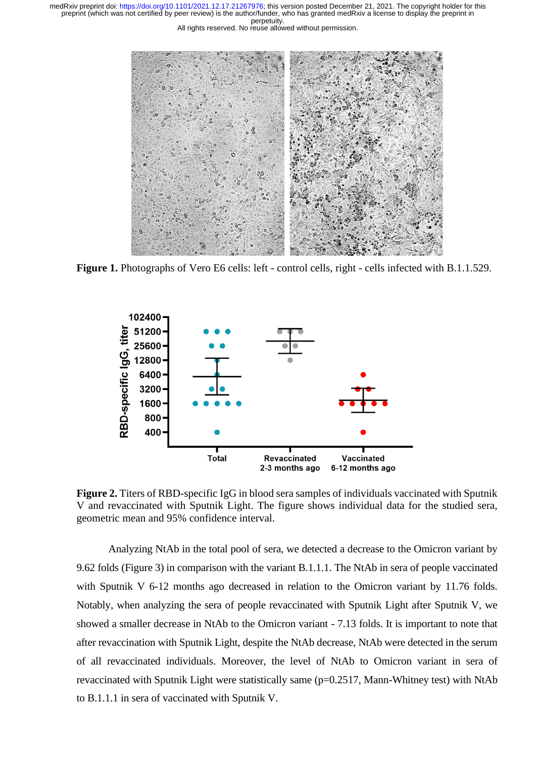



Figure 1. Photographs of Vero E6 cells: left - control cells, right - cells infected with B.1.1.529.



**Figure 2.** Titers of RBD-specific IgG in blood sera samples of individuals vaccinated with Sputnik V and revaccinated with Sputnik Light. The figure shows individual data for the studied sera, geometric mean and 95% confidence interval.

Analyzing NtAb in the total pool of sera, we detected a decrease to the Omicron variant by 9.62 folds (Figure 3) in comparison with the variant B.1.1.1. The NtAb in sera of people vaccinated with Sputnik V 6-12 months ago decreased in relation to the Omicron variant by 11.76 folds. Notably, when analyzing the sera of people revaccinated with Sputnik Light after Sputnik V, we showed a smaller decrease in NtAb to the Omicron variant - 7.13 folds. It is important to note that after revaccination with Sputnik Light, despite the NtAb decrease, NtAb were detected in the serum of all revaccinated individuals. Moreover, the level of NtAb to Omicron variant in sera of revaccinated with Sputnik Light were statistically same (p=0.2517, Mann-Whitney test) with NtAb to B.1.1.1 in sera of vaccinated with Sputnik V.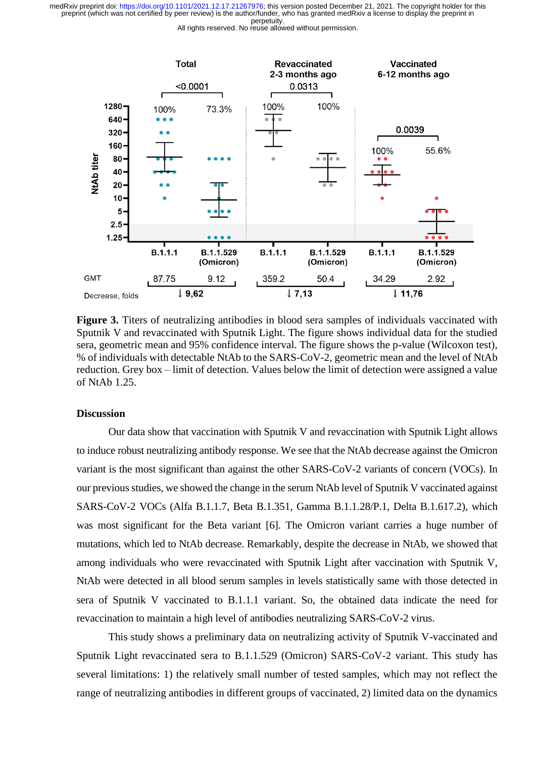All rights reserved. No reuse allowed without permission.



**Figure 3.** Titers of neutralizing antibodies in blood sera samples of individuals vaccinated with Sputnik V and revaccinated with Sputnik Light. The figure shows individual data for the studied sera, geometric mean and 95% confidence interval. The figure shows the p-value (Wilcoxon test), % of individuals with detectable NtAb to the SARS-CoV-2, geometric mean and the level of NtAb reduction. Grey box – limit of detection. Values below the limit of detection were assigned a value of NtAb 1.25.

#### **Discussion**

Our data show that vaccination with Sputnik V and revaccination with Sputnik Light allows to induce robust neutralizing antibody response. We see that the NtAb decrease against the Omicron variant is the most significant than against the other SARS-CoV-2 variants of concern (VOCs). In our previous studies, we showed the change in the serum NtAb level of Sputnik V vaccinated against SARS-CoV-2 VOCs (Alfa B.1.1.7, Beta B.1.351, Gamma B.1.1.28/P.1, Delta B.1.617.2), which was most significant for the Beta variant [6]. The Omicron variant carries a huge number of mutations, which led to NtAb decrease. Remarkably, despite the decrease in NtAb, we showed that among individuals who were revaccinated with Sputnik Light after vaccination with Sputnik V, NtAb were detected in all blood serum samples in levels statistically same with those detected in sera of Sputnik V vaccinated to B.1.1.1 variant. So, the obtained data indicate the need for revaccination to maintain a high level of antibodies neutralizing SARS-CoV-2 virus.

This study shows a preliminary data on neutralizing activity of Sputnik V-vaccinated and Sputnik Light revaccinated sera to B.1.1.529 (Omicron) SARS-CoV-2 variant. This study has several limitations: 1) the relatively small number of tested samples, which may not reflect the range of neutralizing antibodies in different groups of vaccinated, 2) limited data on the dynamics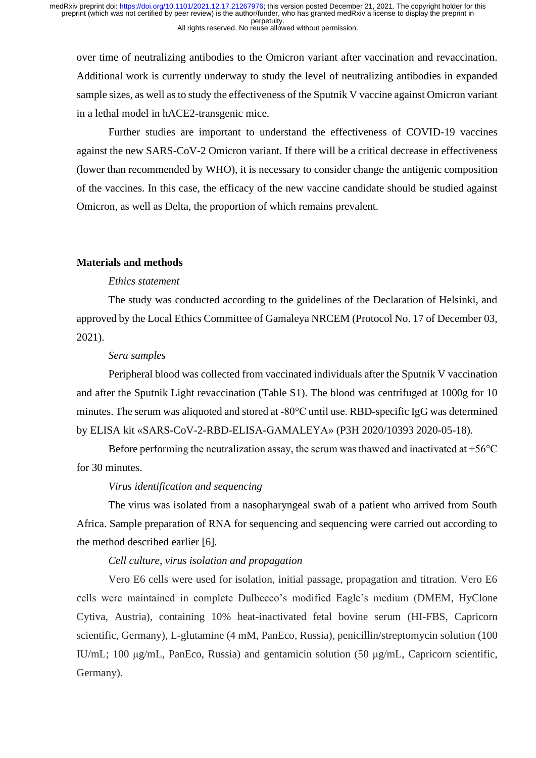over time of neutralizing antibodies to the Omicron variant after vaccination and revaccination. Additional work is currently underway to study the level of neutralizing antibodies in expanded sample sizes, as well as to study the effectiveness of the Sputnik V vaccine against Omicron variant in a lethal model in hACE2-transgenic mice.

Further studies are important to understand the effectiveness of COVID-19 vaccines against the new SARS-CoV-2 Omicron variant. If there will be a critical decrease in effectiveness (lower than recommended by WHO), it is necessary to consider change the antigenic composition of the vaccines. In this case, the efficacy of the new vaccine candidate should be studied against Omicron, as well as Delta, the proportion of which remains prevalent.

#### **Materials and methods**

## *Ethics statement*

The study was conducted according to the guidelines of the Declaration of Helsinki, and approved by the Local Ethics Committee of Gamaleya NRCEM (Protocol No. 17 of December 03, 2021).

#### *Sera samples*

Peripheral blood was collected from vaccinated individuals after the Sputnik V vaccination and after the Sputnik Light revaccination (Table S1). The blood was centrifuged at 1000g for 10 minutes. The serum was aliquoted and stored at -80°C until use. RBD-specific IgG was determined by ELISA kit «SARS-CoV-2-RBD-ELISA-GAMALEYA» (P3H 2020/10393 2020-05-18).

Before performing the neutralization assay, the serum was thawed and inactivated at  $+56^{\circ}$ C for 30 minutes.

### *Virus identification and sequencing*

The virus was isolated from a nasopharyngeal swab of a patient who arrived from South Africa. Sample preparation of RNA for sequencing and sequencing were carried out according to the method described earlier [6].

#### *Cell culture, virus isolation and propagation*

Vero E6 cells were used for isolation, initial passage, propagation and titration. Vero E6 cells were maintained in complete Dulbecco's modified Eagle's medium (DMEM, HyClone Cytiva, Austria), containing 10% heat-inactivated fetal bovine serum (HI-FBS, Capricorn scientific, Germany), L-glutamine (4 mM, PanEco, Russia), penicillin/streptomycin solution (100 IU/mL; 100 μg/mL, PanEco, Russia) and gentamicin solution (50 μg/mL, Capricorn scientific, Germany).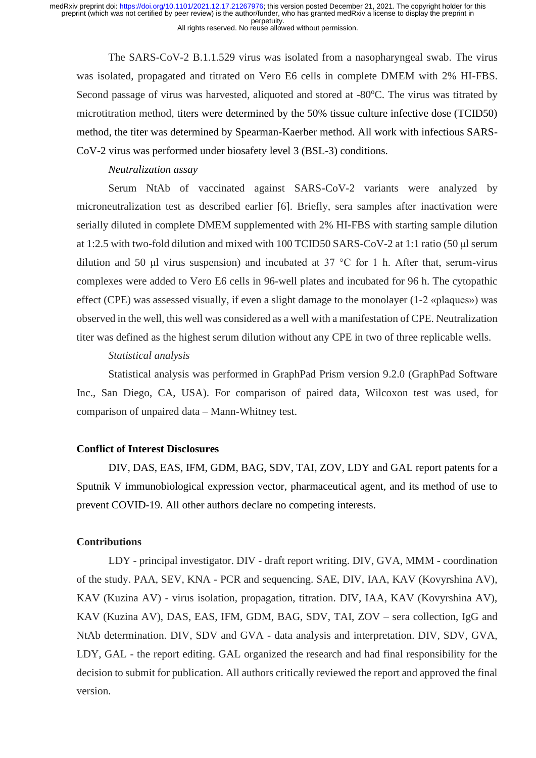The SARS-CoV-2 B.1.1.529 virus was isolated from a nasopharyngeal swab. The virus was isolated, propagated and titrated on Vero E6 cells in complete DMEM with 2% HI-FBS. Second passage of virus was harvested, aliquoted and stored at  $-80^{\circ}$ C. The virus was titrated by microtitration method, titers were determined by the 50% tissue culture infective dose (TCID50) method, the titer was determined by Spearman-Kaerber method. All work with infectious SARS-CoV-2 virus was performed under biosafety level 3 (BSL-3) conditions.

#### *Neutralization assay*

Serum NtAb of vaccinated against SARS-CoV-2 variants were analyzed by microneutralization test as described earlier [6]. Briefly, sera samples after inactivation were serially diluted in complete DMEM supplemented with 2% HI-FBS with starting sample dilution at 1:2.5 with two-fold dilution and mixed with 100 TCID50 SARS-CoV-2 at 1:1 ratio (50 μl serum dilution and 50 μl virus suspension) and incubated at 37 °C for 1 h. After that, serum-virus complexes were added to Vero E6 cells in 96-well plates and incubated for 96 h. The cytopathic effect (CPE) was assessed visually, if even a slight damage to the monolayer (1-2 «plaques») was observed in the well, this well was considered as a well with a manifestation of CPE. Neutralization titer was defined as the highest serum dilution without any CPE in two of three replicable wells.

#### *Statistical analysis*

Statistical analysis was performed in GraphPad Prism version 9.2.0 (GraphPad Software Inc., San Diego, CA, USA). For comparison of paired data, Wilcoxon test was used, for comparison of unpaired data – Mann-Whitney test.

### **Conflict of Interest Disclosures**

DIV, DAS, EAS, IFM, GDM, BAG, SDV, TAI, ZOV, LDY and GAL report patents for a Sputnik V immunobiological expression vector, pharmaceutical agent, and its method of use to prevent COVID-19. All other authors declare no competing interests.

#### **Contributions**

LDY - principal investigator. DIV - draft report writing. DIV, GVA, MMM - coordination of the study. PAA, SEV, KNA - PCR and sequencing. SAE, DIV, IAA, KAV (Kovyrshina AV), KAV (Kuzina AV) - virus isolation, propagation, titration. DIV, IAA, KAV (Kovyrshina AV), KAV (Kuzina AV), DAS, EAS, IFM, GDM, BAG, SDV, TAI, ZOV – sera collection, IgG and NtAb determination. DIV, SDV and GVA - data analysis and interpretation. DIV, SDV, GVA, LDY, GAL - the report editing. GAL organized the research and had final responsibility for the decision to submit for publication. All authors critically reviewed the report and approved the final version.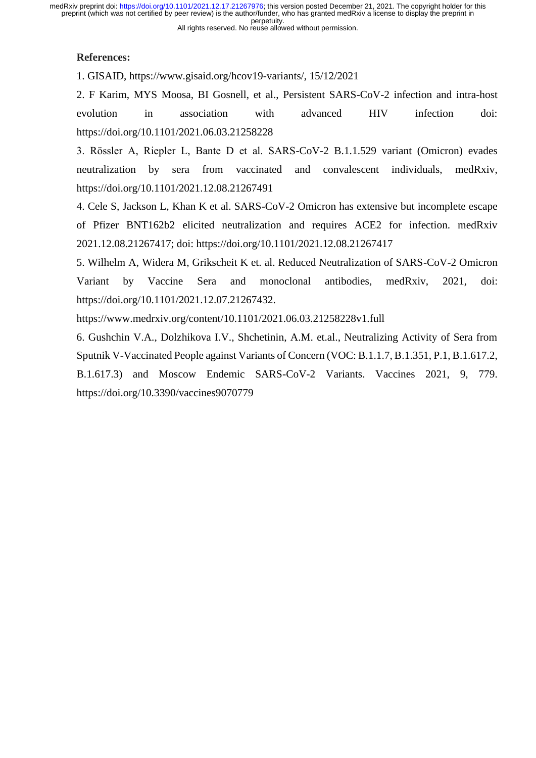#### All rights reserved. No reuse allowed without permission.

## **References:**

1. GISAID, https://www.gisaid.org/hcov19-variants/, 15/12/2021

2. F Karim, MYS Moosa, BI Gosnell, et al., Persistent SARS-CoV-2 infection and intra-host evolution in association with advanced HIV infection doi: https://doi.org/10.1101/2021.06.03.21258228

3. Rössler A, Riepler L, Bante D et al. SARS-CoV-2 B.1.1.529 variant (Omicron) evades neutralization by sera from vaccinated and convalescent individuals, medRxiv, https://doi.org/10.1101/2021.12.08.21267491

4. Cele S, Jackson L, Khan K et al. SARS-CoV-2 Omicron has extensive but incomplete escape of Pfizer BNT162b2 elicited neutralization and requires ACE2 for infection. medRxiv 2021.12.08.21267417; doi: https://doi.org/10.1101/2021.12.08.21267417

5. Wilhelm A, Widera M, Grikscheit K et. al. Reduced Neutralization of SARS-CoV-2 Omicron Variant by Vaccine Sera and monoclonal antibodies, medRxiv, 2021, doi: https://doi.org/10.1101/2021.12.07.21267432.

https://www.medrxiv.org/content/10.1101/2021.06.03.21258228v1.full

6. Gushchin V.A., Dolzhikova I.V., Shchetinin, A.M. et.al., Neutralizing Activity of Sera from Sputnik V-Vaccinated People against Variants of Concern (VOC: B.1.1.7, B.1.351, P.1, B.1.617.2, B.1.617.3) and Moscow Endemic SARS-CoV-2 Variants. Vaccines 2021, 9, 779.

https://doi.org/10.3390/vaccines9070779